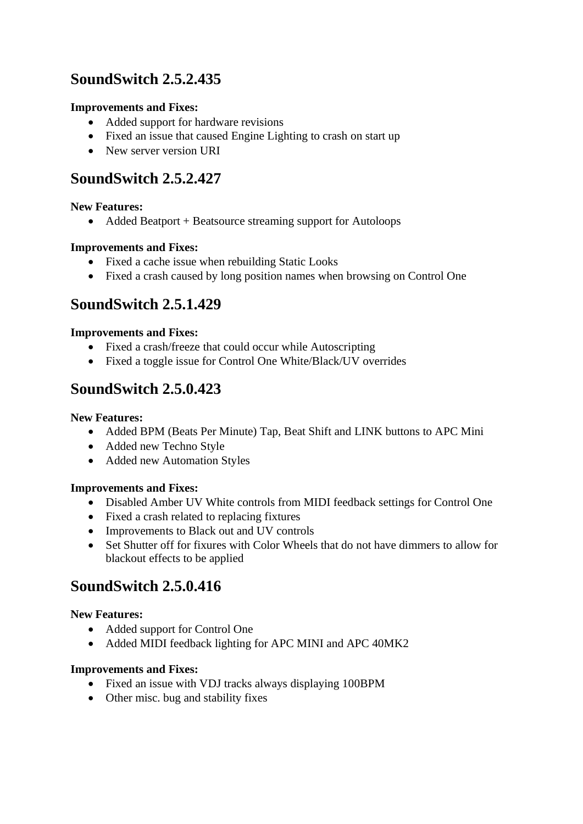# **SoundSwitch 2.5.2.435**

## **Improvements and Fixes:**

- Added support for hardware revisions
- Fixed an issue that caused Engine Lighting to crash on start up
- New server version URI

# **SoundSwitch 2.5.2.427**

#### **New Features:**

• Added Beatport + Beatsource streaming support for Autoloops

### **Improvements and Fixes:**

- Fixed a cache issue when rebuilding Static Looks
- Fixed a crash caused by long position names when browsing on Control One

# **SoundSwitch 2.5.1.429**

### **Improvements and Fixes:**

- Fixed a crash/freeze that could occur while Autoscripting
- Fixed a toggle issue for Control One White/Black/UV overrides

# **SoundSwitch 2.5.0.423**

#### **New Features:**

- Added BPM (Beats Per Minute) Tap, Beat Shift and LINK buttons to APC Mini
- Added new Techno Style
- Added new Automation Styles

#### **Improvements and Fixes:**

- Disabled Amber UV White controls from MIDI feedback settings for Control One
- Fixed a crash related to replacing fixtures
- Improvements to Black out and UV controls
- Set Shutter off for fixures with Color Wheels that do not have dimmers to allow for blackout effects to be applied

# **SoundSwitch 2.5.0.416**

## **New Features:**

- Added support for Control One
- Added MIDI feedback lighting for APC MINI and APC 40MK2

#### **Improvements and Fixes:**

- Fixed an issue with VDJ tracks always displaying 100BPM
- Other misc. bug and stability fixes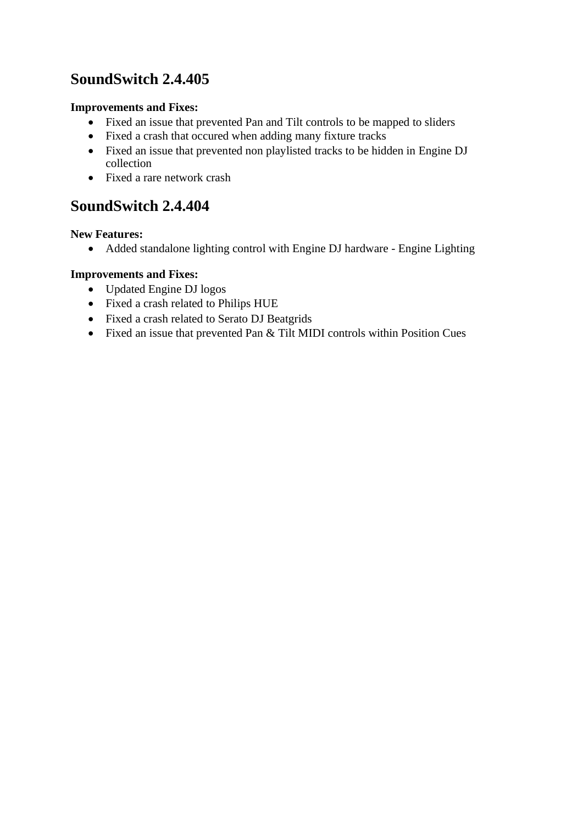# **SoundSwitch 2.4.405**

### **Improvements and Fixes:**

- Fixed an issue that prevented Pan and Tilt controls to be mapped to sliders
- Fixed a crash that occured when adding many fixture tracks
- Fixed an issue that prevented non playlisted tracks to be hidden in Engine DJ collection
- Fixed a rare network crash

# **SoundSwitch 2.4.404**

#### **New Features:**

• Added standalone lighting control with Engine DJ hardware - Engine Lighting

## **Improvements and Fixes:**

- Updated Engine DJ logos
- Fixed a crash related to Philips HUE
- Fixed a crash related to Serato DJ Beatgrids
- Fixed an issue that prevented Pan & Tilt MIDI controls within Position Cues